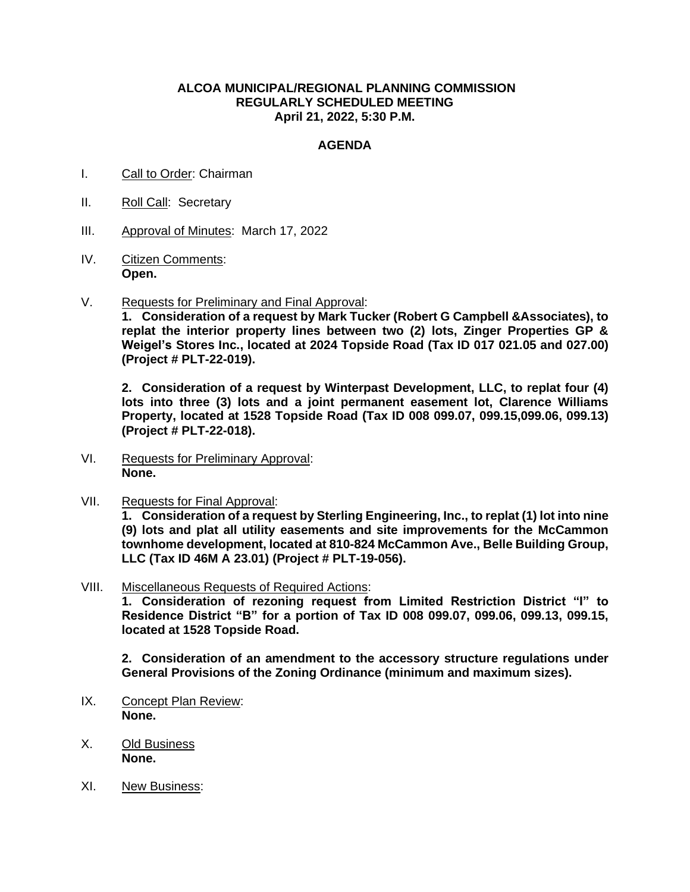## **ALCOA MUNICIPAL/REGIONAL PLANNING COMMISSION REGULARLY SCHEDULED MEETING April 21, 2022, 5:30 P.M.**

## **AGENDA**

- I. Call to Order: Chairman
- II. Roll Call: Secretary
- III. Approval of Minutes: March 17, 2022
- IV. Citizen Comments: **Open.**
- V. Requests for Preliminary and Final Approval:

**1. Consideration of a request by Mark Tucker (Robert G Campbell &Associates), to replat the interior property lines between two (2) lots, Zinger Properties GP & Weigel's Stores Inc., located at 2024 Topside Road (Tax ID 017 021.05 and 027.00) (Project # PLT-22-019).**

**2. Consideration of a request by Winterpast Development, LLC, to replat four (4) lots into three (3) lots and a joint permanent easement lot, Clarence Williams Property, located at 1528 Topside Road (Tax ID 008 099.07, 099.15,099.06, 099.13) (Project # PLT-22-018).**

- VI. Requests for Preliminary Approval: **None.**
- VII. Requests for Final Approval:

**1. Consideration of a request by Sterling Engineering, Inc., to replat (1) lot into nine (9) lots and plat all utility easements and site improvements for the McCammon townhome development, located at 810-824 McCammon Ave., Belle Building Group, LLC (Tax ID 46M A 23.01) (Project # PLT-19-056).**

VIII. Miscellaneous Requests of Required Actions:

**1. Consideration of rezoning request from Limited Restriction District "I" to Residence District "B" for a portion of Tax ID 008 099.07, 099.06, 099.13, 099.15, located at 1528 Topside Road.**

**2. Consideration of an amendment to the accessory structure regulations under General Provisions of the Zoning Ordinance (minimum and maximum sizes).**

- IX. Concept Plan Review: **None.**
- X. Old Business **None.**
- XI. New Business: